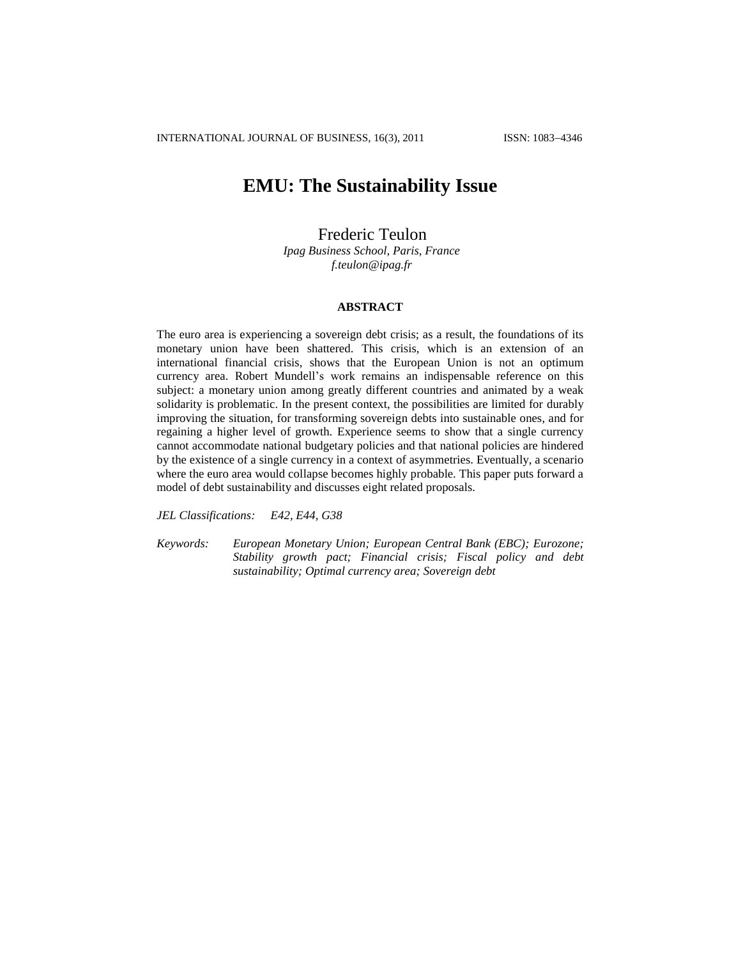# **EMU: The Sustainability Issue**

## Frederic Teulon

*Ipag Business School, Paris, France f.teulon@ipag.fr*

### **ABSTRACT**

The euro area is experiencing a sovereign debt crisis; as a result, the foundations of its monetary union have been shattered. This crisis, which is an extension of an international financial crisis, shows that the European Union is not an optimum currency area. Robert Mundell's work remains an indispensable reference on this subject: a monetary union among greatly different countries and animated by a weak solidarity is problematic. In the present context, the possibilities are limited for durably improving the situation, for transforming sovereign debts into sustainable ones, and for regaining a higher level of growth. Experience seems to show that a single currency cannot accommodate national budgetary policies and that national policies are hindered by the existence of a single currency in a context of asymmetries. Eventually, a scenario where the euro area would collapse becomes highly probable. This paper puts forward a model of debt sustainability and discusses eight related proposals.

*JEL Classifications: E42, E44, G38*

*Keywords: European Monetary Union; European Central Bank (EBC); Eurozone; Stability growth pact; Financial crisis; Fiscal policy and debt sustainability; Optimal currency area; Sovereign debt*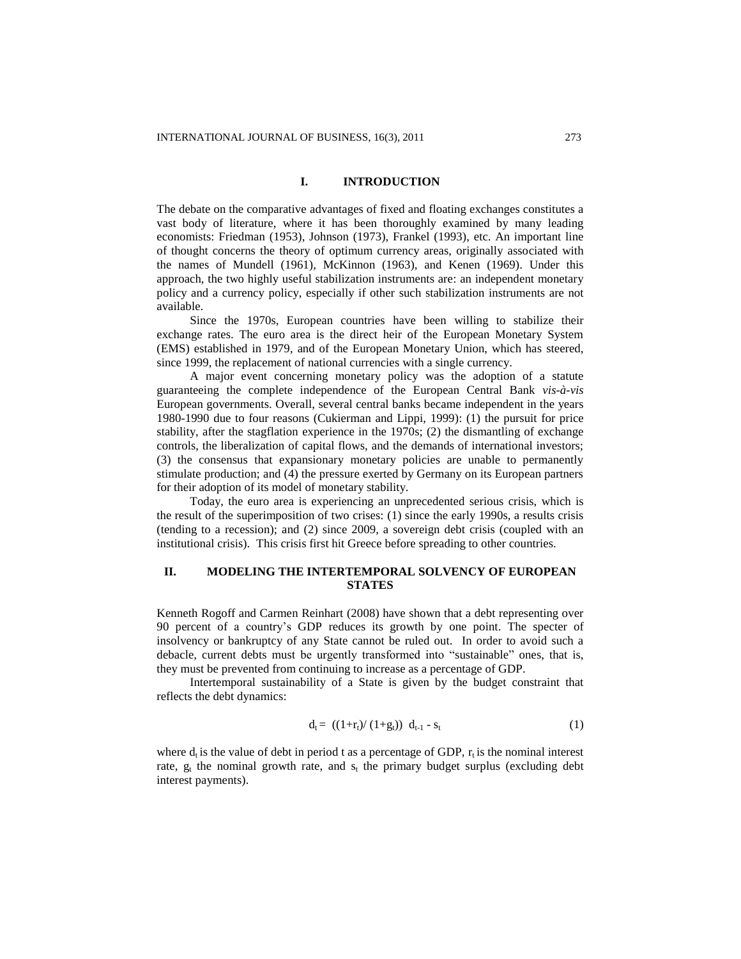### **I. INTRODUCTION**

The debate on the comparative advantages of fixed and floating exchanges constitutes a vast body of literature, where it has been thoroughly examined by many leading economists: Friedman (1953), Johnson (1973), Frankel (1993), etc. An important line of thought concerns the theory of optimum currency areas, originally associated with the names of Mundell (1961), McKinnon (1963), and Kenen (1969). Under this approach, the two highly useful stabilization instruments are: an independent monetary policy and a currency policy, especially if other such stabilization instruments are not available.

Since the 1970s, European countries have been willing to stabilize their exchange rates. The euro area is the direct heir of the European Monetary System (EMS) established in 1979, and of the European Monetary Union, which has steered, since 1999, the replacement of national currencies with a single currency.

A major event concerning monetary policy was the adoption of a statute guaranteeing the complete independence of the European Central Bank *vis-à-vis*  European governments. Overall, several central banks became independent in the years 1980-1990 due to four reasons (Cukierman and Lippi, 1999): (1) the pursuit for price stability, after the stagflation experience in the 1970s; (2) the dismantling of exchange controls, the liberalization of capital flows, and the demands of international investors; (3) the consensus that expansionary monetary policies are unable to permanently stimulate production; and (4) the pressure exerted by Germany on its European partners for their adoption of its model of monetary stability.

Today, the euro area is experiencing an unprecedented serious crisis, which is the result of the superimposition of two crises: (1) since the early 1990s, a results crisis (tending to a recession); and (2) since 2009, a sovereign debt crisis (coupled with an institutional crisis). This crisis first hit Greece before spreading to other countries.

### **II. MODELING THE INTERTEMPORAL SOLVENCY OF EUROPEAN STATES**

Kenneth Rogoff and Carmen Reinhart (2008) have shown that a debt representing over 90 percent of a country's GDP reduces its growth by one point. The specter of insolvency or bankruptcy of any State cannot be ruled out. In order to avoid such a debacle, current debts must be urgently transformed into "sustainable" ones, that is, they must be prevented from continuing to increase as a percentage of GDP.

Intertemporal sustainability of a State is given by the budget constraint that reflects the debt dynamics:

$$
d_t = ((1 + r_t) / (1 + g_t)) d_{t-1} - s_t
$$
 (1)

where  $d_t$  is the value of debt in period t as a percentage of GDP,  $r_t$  is the nominal interest rate,  $g_t$  the nominal growth rate, and  $s_t$  the primary budget surplus (excluding debt interest payments).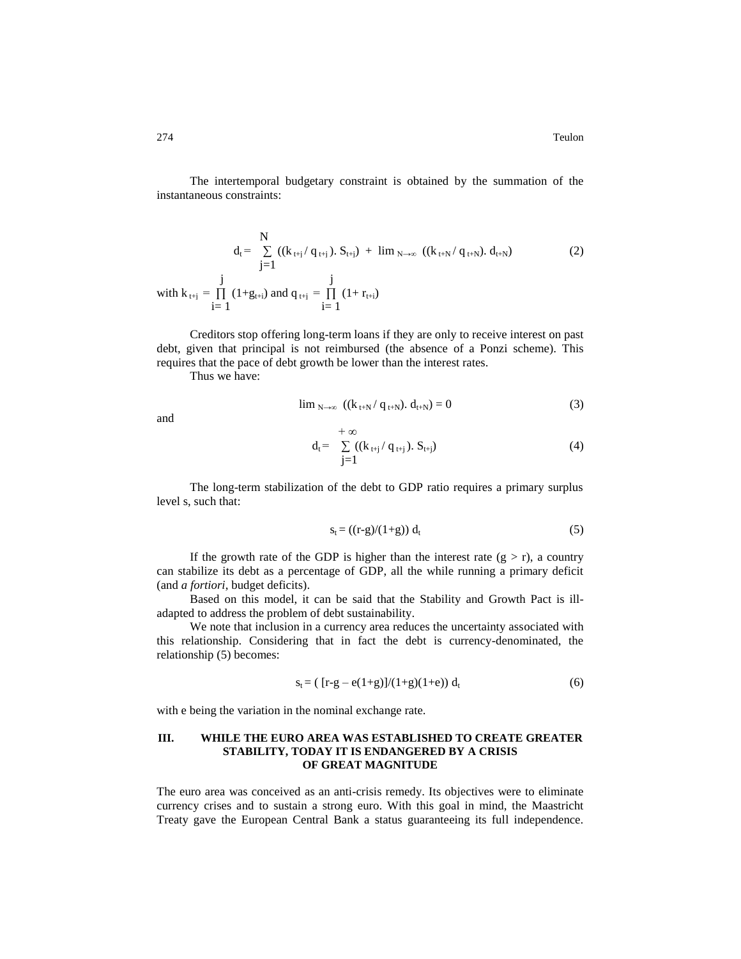274 Teulon

The intertemporal budgetary constraint is obtained by the summation of the instantaneous constraints:

$$
d_{t} = \sum_{j=1}^{N} ((k_{t+j} / q_{t+j}), S_{t+j}) + \lim_{N \to \infty} ((k_{t+N} / q_{t+N}), d_{t+N})
$$
\n
$$
= \int_{i=1}^{j} (1 + g_{t+i}) \text{ and } q_{t+j} = \prod_{i=1}^{j} (1 + r_{t+i})
$$
\n(2)

Creditors stop offering long-term loans if they are only to receive interest on past debt, given that principal is not reimbursed (the absence of a Ponzi scheme). This requires that the pace of debt growth be lower than the interest rates.

Thus we have:

$$
\lim_{N \to \infty} ((k_{t+N}/q_{t+N}), d_{t+N}) = 0
$$
 (3)

and

$$
d_{t} = \sum_{j=1}^{+\infty} ((k_{t+j} / q_{t+j}), S_{t+j})
$$
(4)

The long-term stabilization of the debt to GDP ratio requires a primary surplus level s, such that:

$$
s_t = ((r-g)/(1+g)) d_t \tag{5}
$$

If the growth rate of the GDP is higher than the interest rate  $(g > r)$ , a country can stabilize its debt as a percentage of GDP, all the while running a primary deficit (and *a fortiori*, budget deficits).

Based on this model, it can be said that the Stability and Growth Pact is illadapted to address the problem of debt sustainability.

We note that inclusion in a currency area reduces the uncertainty associated with this relationship. Considering that in fact the debt is currency-denominated, the relationship (5) becomes:

$$
s_t = ( [r-g - e(1+g)]/(1+g)(1+e)) d_t
$$
 (6)

with e being the variation in the nominal exchange rate.

### **III. WHILE THE EURO AREA WAS ESTABLISHED TO CREATE GREATER STABILITY, TODAY IT IS ENDANGERED BY A CRISIS OF GREAT MAGNITUDE**

The euro area was conceived as an anti-crisis remedy. Its objectives were to eliminate currency crises and to sustain a strong euro. With this goal in mind, the Maastricht Treaty gave the European Central Bank a status guaranteeing its full independence.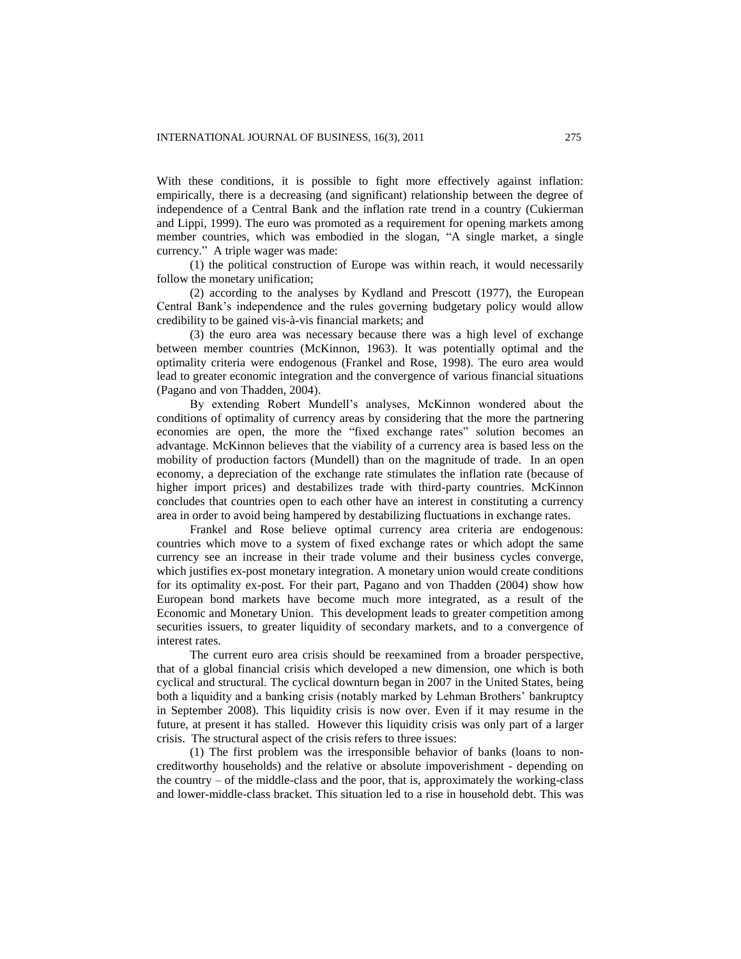With these conditions, it is possible to fight more effectively against inflation: empirically, there is a decreasing (and significant) relationship between the degree of independence of a Central Bank and the inflation rate trend in a country (Cukierman and Lippi, 1999). The euro was promoted as a requirement for opening markets among member countries, which was embodied in the slogan, "A single market, a single currency." A triple wager was made:

(1) the political construction of Europe was within reach, it would necessarily follow the monetary unification;

(2) according to the analyses by Kydland and Prescott (1977), the European Central Bank's independence and the rules governing budgetary policy would allow credibility to be gained vis-à-vis financial markets; and

(3) the euro area was necessary because there was a high level of exchange between member countries (McKinnon, 1963). It was potentially optimal and the optimality criteria were endogenous (Frankel and Rose, 1998). The euro area would lead to greater economic integration and the convergence of various financial situations (Pagano and von Thadden, 2004).

By extending Robert Mundell's analyses, McKinnon wondered about the conditions of optimality of currency areas by considering that the more the partnering economies are open, the more the "fixed exchange rates" solution becomes an advantage. McKinnon believes that the viability of a currency area is based less on the mobility of production factors (Mundell) than on the magnitude of trade. In an open economy, a depreciation of the exchange rate stimulates the inflation rate (because of higher import prices) and destabilizes trade with third-party countries. McKinnon concludes that countries open to each other have an interest in constituting a currency area in order to avoid being hampered by destabilizing fluctuations in exchange rates.

Frankel and Rose believe optimal currency area criteria are endogenous: countries which move to a system of fixed exchange rates or which adopt the same currency see an increase in their trade volume and their business cycles converge, which justifies ex-post monetary integration. A monetary union would create conditions for its optimality ex-post. For their part, Pagano and von Thadden (2004) show how European bond markets have become much more integrated, as a result of the Economic and Monetary Union. This development leads to greater competition among securities issuers, to greater liquidity of secondary markets, and to a convergence of interest rates.

The current euro area crisis should be reexamined from a broader perspective, that of a global financial crisis which developed a new dimension, one which is both cyclical and structural. The cyclical downturn began in 2007 in the United States, being both a liquidity and a banking crisis (notably marked by Lehman Brothers' bankruptcy in September 2008). This liquidity crisis is now over. Even if it may resume in the future, at present it has stalled. However this liquidity crisis was only part of a larger crisis. The structural aspect of the crisis refers to three issues:

(1) The first problem was the irresponsible behavior of banks (loans to noncreditworthy households) and the relative or absolute impoverishment - depending on the country  $-$  of the middle-class and the poor, that is, approximately the working-class and lower-middle-class bracket. This situation led to a rise in household debt. This was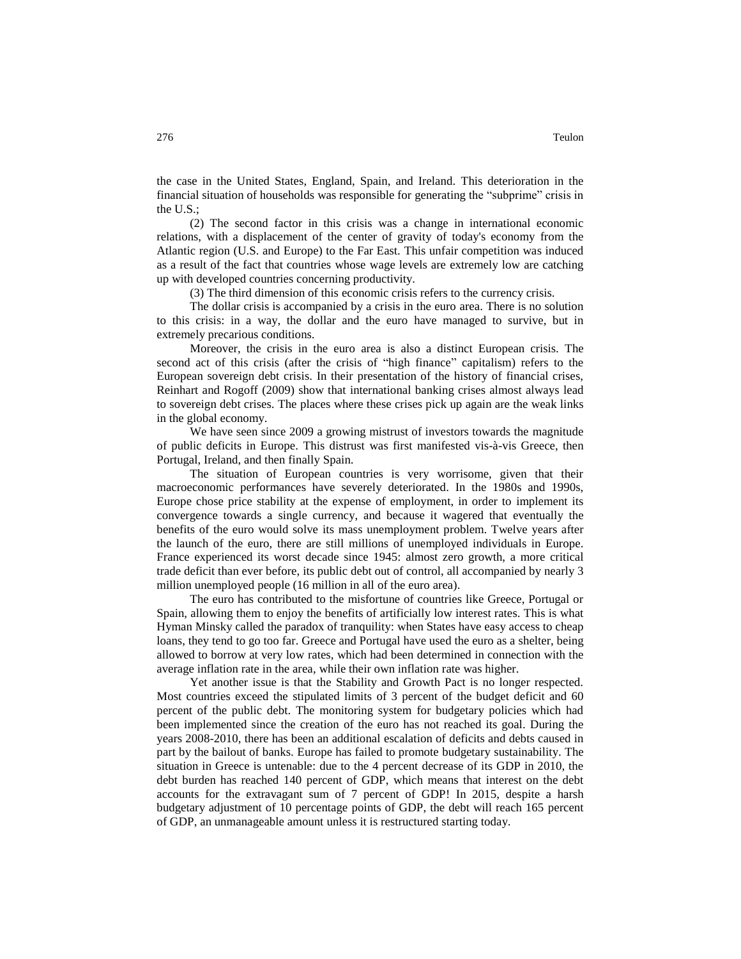the case in the United States, England, Spain, and Ireland. This deterioration in the financial situation of households was responsible for generating the "subprime" crisis in the U.S.;

(2) The second factor in this crisis was a change in international economic relations, with a displacement of the center of gravity of today's economy from the Atlantic region (U.S. and Europe) to the Far East. This unfair competition was induced as a result of the fact that countries whose wage levels are extremely low are catching up with developed countries concerning productivity.

(3) The third dimension of this economic crisis refers to the currency crisis.

The dollar crisis is accompanied by a crisis in the euro area. There is no solution to this crisis: in a way, the dollar and the euro have managed to survive, but in extremely precarious conditions.

Moreover, the crisis in the euro area is also a distinct European crisis. The second act of this crisis (after the crisis of "high finance" capitalism) refers to the European sovereign debt crisis. In their presentation of the history of financial crises, Reinhart and Rogoff (2009) show that international banking crises almost always lead to sovereign debt crises. The places where these crises pick up again are the weak links in the global economy.

We have seen since 2009 a growing mistrust of investors towards the magnitude of public deficits in Europe. This distrust was first manifested vis-à-vis Greece, then Portugal, Ireland, and then finally Spain.

The situation of European countries is very worrisome, given that their macroeconomic performances have severely deteriorated. In the 1980s and 1990s, Europe chose price stability at the expense of employment, in order to implement its convergence towards a single currency, and because it wagered that eventually the benefits of the euro would solve its mass unemployment problem. Twelve years after the launch of the euro, there are still millions of unemployed individuals in Europe. France experienced its worst decade since 1945: almost zero growth, a more critical trade deficit than ever before, its public debt out of control, all accompanied by nearly 3 million unemployed people (16 million in all of the euro area).

The euro has contributed to the misfortune of countries like Greece, Portugal or Spain, allowing them to enjoy the benefits of artificially low interest rates. This is what Hyman Minsky called the paradox of tranquility: when States have easy access to cheap loans, they tend to go too far. Greece and Portugal have used the euro as a shelter, being allowed to borrow at very low rates, which had been determined in connection with the average inflation rate in the area, while their own inflation rate was higher.

Yet another issue is that the Stability and Growth Pact is no longer respected. Most countries exceed the stipulated limits of 3 percent of the budget deficit and 60 percent of the public debt. The monitoring system for budgetary policies which had been implemented since the creation of the euro has not reached its goal. During the years 2008-2010, there has been an additional escalation of deficits and debts caused in part by the bailout of banks. Europe has failed to promote budgetary sustainability. The situation in Greece is untenable: due to the 4 percent decrease of its GDP in 2010, the debt burden has reached 140 percent of GDP, which means that interest on the debt accounts for the extravagant sum of 7 percent of GDP! In 2015, despite a harsh budgetary adjustment of 10 percentage points of GDP, the debt will reach 165 percent of GDP, an unmanageable amount unless it is restructured starting today.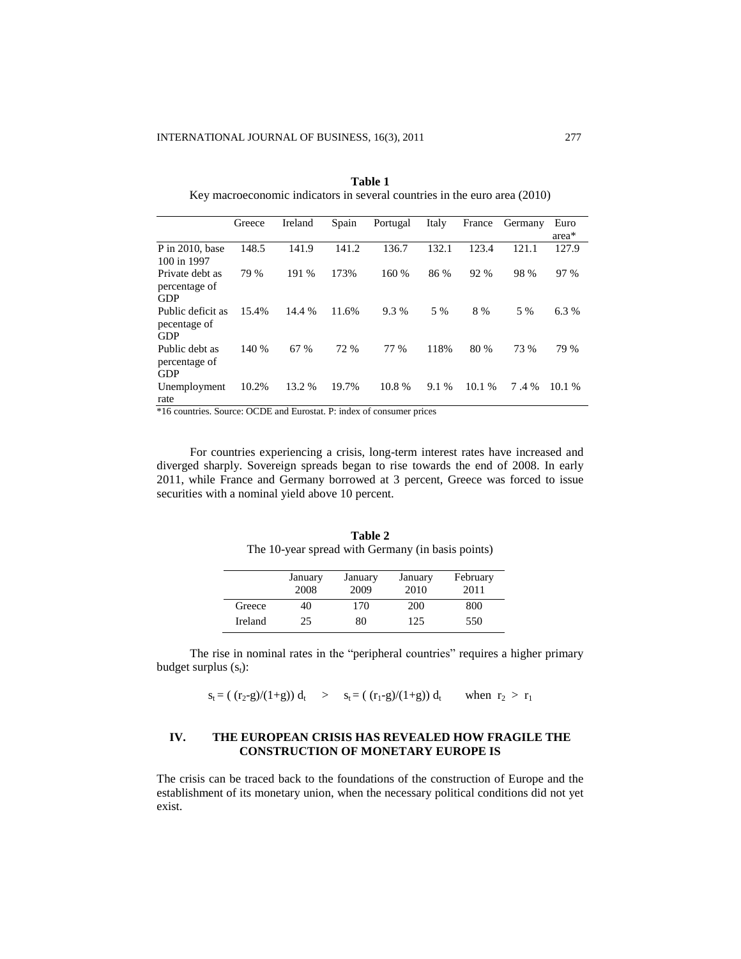|                                                 | Greece | Ireland | Spain | Portugal | Italy | France | Germany | Euro   |
|-------------------------------------------------|--------|---------|-------|----------|-------|--------|---------|--------|
|                                                 |        |         |       |          |       |        |         | area*  |
| $P$ in 2010, base<br>100 in 1997                | 148.5  | 141.9   | 141.2 | 136.7    | 132.1 | 123.4  | 121.1   | 127.9  |
| Private debt as<br>percentage of<br><b>GDP</b>  | 79 %   | 191 %   | 173%  | 160 %    | 86 %  | 92 %   | 98 %    | 97 %   |
| Public deficit as<br>pecentage of<br><b>GDP</b> | 15.4%  | 14.4 %  | 11.6% | 9.3%     | 5 %   | 8 %    | 5 %     | 6.3%   |
| Public debt as<br>percentage of<br><b>GDP</b>   | 140 %  | 67 %    | 72 %  | 77 %     | 118%  | 80 %   | 73 %    | 79 %   |
| Unemployment<br>rate                            | 10.2%  | 13.2 %  | 19.7% | 10.8%    | 9.1 % | 10.1%  | 7.4 %   | 10.1 % |

**Table 1** Key macroeconomic indicators in several countries in the euro area (2010)

\*16 countries. Source: OCDE and Eurostat. P: index of consumer prices

For countries experiencing a crisis, long-term interest rates have increased and diverged sharply. Sovereign spreads began to rise towards the end of 2008. In early 2011, while France and Germany borrowed at 3 percent, Greece was forced to issue securities with a nominal yield above 10 percent.

|         | January | January | January | February |
|---------|---------|---------|---------|----------|
|         | 2008    | 2009    | 2010    | 2011     |
| Greece  | 40      | 170     | 200     | 800      |
| Ireland | 25      | 80      | 125     | 550      |

**Table 2** The 10-year spread with Germany (in basis points)

The rise in nominal rates in the "peripheral countries" requires a higher primary budget surplus  $(s_t)$ :

 $s_t = (r_2-g)/(1+g) d_t$  >  $s_t = (r_1-g)/(1+g) d_t$  when  $r_2 > r_1$ 

### **IV. THE EUROPEAN CRISIS HAS REVEALED HOW FRAGILE THE CONSTRUCTION OF MONETARY EUROPE IS**

The crisis can be traced back to the foundations of the construction of Europe and the establishment of its monetary union, when the necessary political conditions did not yet exist.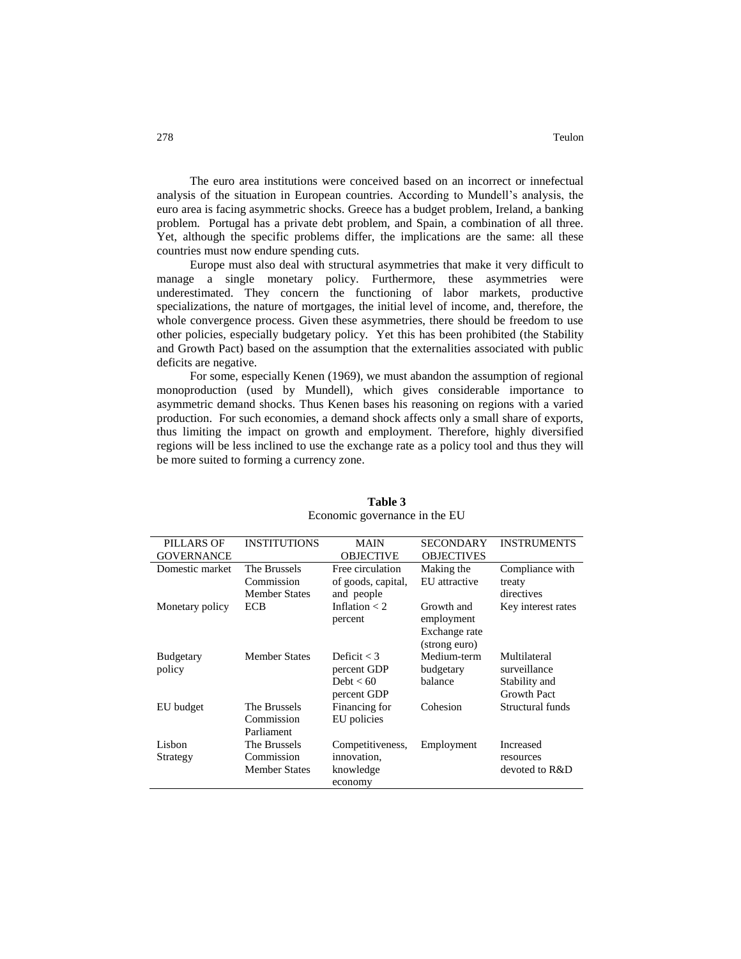The euro area institutions were conceived based on an incorrect or innefectual analysis of the situation in European countries. According to Mundell's analysis, the euro area is facing asymmetric shocks. Greece has a budget problem, Ireland, a banking problem. Portugal has a private debt problem, and Spain, a combination of all three. Yet, although the specific problems differ, the implications are the same: all these countries must now endure spending cuts.

Europe must also deal with structural asymmetries that make it very difficult to manage a single monetary policy. Furthermore, these asymmetries were underestimated. They concern the functioning of labor markets, productive specializations, the nature of mortgages, the initial level of income, and, therefore, the whole convergence process. Given these asymmetries, there should be freedom to use other policies, especially budgetary policy. Yet this has been prohibited (the Stability and Growth Pact) based on the assumption that the externalities associated with public deficits are negative.

For some, especially Kenen (1969), we must abandon the assumption of regional monoproduction (used by Mundell), which gives considerable importance to asymmetric demand shocks. Thus Kenen bases his reasoning on regions with a varied production. For such economies, a demand shock affects only a small share of exports, thus limiting the impact on growth and employment. Therefore, highly diversified regions will be less inclined to use the exchange rate as a policy tool and thus they will be more suited to forming a currency zone.

| PILLARS OF<br><b>GOVERNANCE</b> | <b>INSTITUTIONS</b>                                | <b>MAIN</b><br><b>OBJECTIVE</b>                            | <b>SECONDARY</b><br><b>OBJECTIVES</b>                      | <b>INSTRUMENTS</b>                                                  |
|---------------------------------|----------------------------------------------------|------------------------------------------------------------|------------------------------------------------------------|---------------------------------------------------------------------|
| Domestic market                 | The Brussels                                       | Free circulation                                           | Making the                                                 | Compliance with                                                     |
|                                 | Commission<br><b>Member States</b>                 | of goods, capital,<br>and people                           | EU attractive                                              | treaty<br>directives                                                |
| Monetary policy                 | ECB                                                | Inflation $<$ 2<br>percent                                 | Growth and<br>employment<br>Exchange rate<br>(strong euro) | Key interest rates                                                  |
| <b>Budgetary</b><br>policy      | <b>Member States</b>                               | Deficit $<$ 3<br>percent GDP<br>Debt $< 60$<br>percent GDP | Medium-term<br>budgetary<br>balance                        | Multilateral<br>surveillance<br>Stability and<br><b>Growth Pact</b> |
| EU budget                       | The Brussels<br>Commission<br>Parliament           | Financing for<br>EU policies                               | Cohesion                                                   | Structural funds                                                    |
| Lisbon<br>Strategy              | The Brussels<br>Commission<br><b>Member States</b> | Competitiveness,<br>innovation,<br>knowledge<br>economy    | Employment                                                 | Increased<br>resources<br>devoted to R&D                            |

### **Table 3** Economic governance in the EU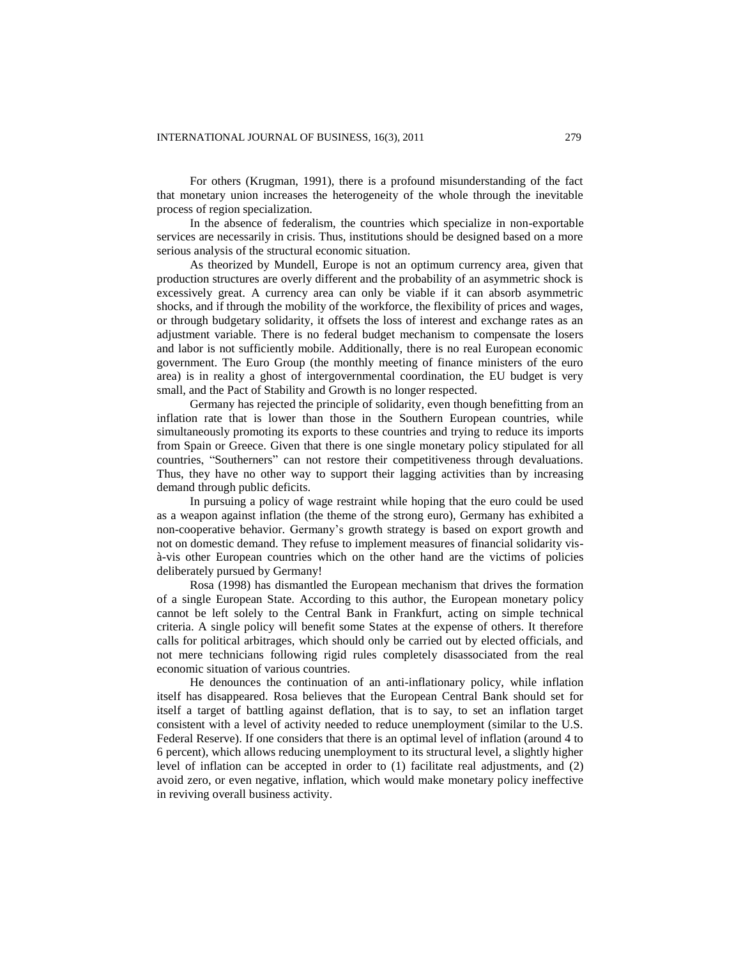For others (Krugman, 1991), there is a profound misunderstanding of the fact that monetary union increases the heterogeneity of the whole through the inevitable process of region specialization.

In the absence of federalism, the countries which specialize in non-exportable services are necessarily in crisis. Thus, institutions should be designed based on a more serious analysis of the structural economic situation.

As theorized by Mundell, Europe is not an optimum currency area, given that production structures are overly different and the probability of an asymmetric shock is excessively great. A currency area can only be viable if it can absorb asymmetric shocks, and if through the mobility of the workforce, the flexibility of prices and wages, or through budgetary solidarity, it offsets the loss of interest and exchange rates as an adjustment variable. There is no federal budget mechanism to compensate the losers and labor is not sufficiently mobile. Additionally, there is no real European economic government. The Euro Group (the monthly meeting of finance ministers of the euro area) is in reality a ghost of intergovernmental coordination, the EU budget is very small, and the Pact of Stability and Growth is no longer respected.

Germany has rejected the principle of solidarity, even though benefitting from an inflation rate that is lower than those in the Southern European countries, while simultaneously promoting its exports to these countries and trying to reduce its imports from Spain or Greece. Given that there is one single monetary policy stipulated for all countries, "Southerners" can not restore their competitiveness through devaluations. Thus, they have no other way to support their lagging activities than by increasing demand through public deficits.

In pursuing a policy of wage restraint while hoping that the euro could be used as a weapon against inflation (the theme of the strong euro), Germany has exhibited a non-cooperative behavior. Germany's growth strategy is based on export growth and not on domestic demand. They refuse to implement measures of financial solidarity visà-vis other European countries which on the other hand are the victims of policies deliberately pursued by Germany!

Rosa (1998) has dismantled the European mechanism that drives the formation of a single European State. According to this author, the European monetary policy cannot be left solely to the Central Bank in Frankfurt, acting on simple technical criteria. A single policy will benefit some States at the expense of others. It therefore calls for political arbitrages, which should only be carried out by elected officials, and not mere technicians following rigid rules completely disassociated from the real economic situation of various countries.

He denounces the continuation of an anti-inflationary policy, while inflation itself has disappeared. Rosa believes that the European Central Bank should set for itself a target of battling against deflation, that is to say, to set an inflation target consistent with a level of activity needed to reduce unemployment (similar to the U.S. Federal Reserve). If one considers that there is an optimal level of inflation (around 4 to 6 percent), which allows reducing unemployment to its structural level, a slightly higher level of inflation can be accepted in order to (1) facilitate real adjustments, and (2) avoid zero, or even negative, inflation, which would make monetary policy ineffective in reviving overall business activity.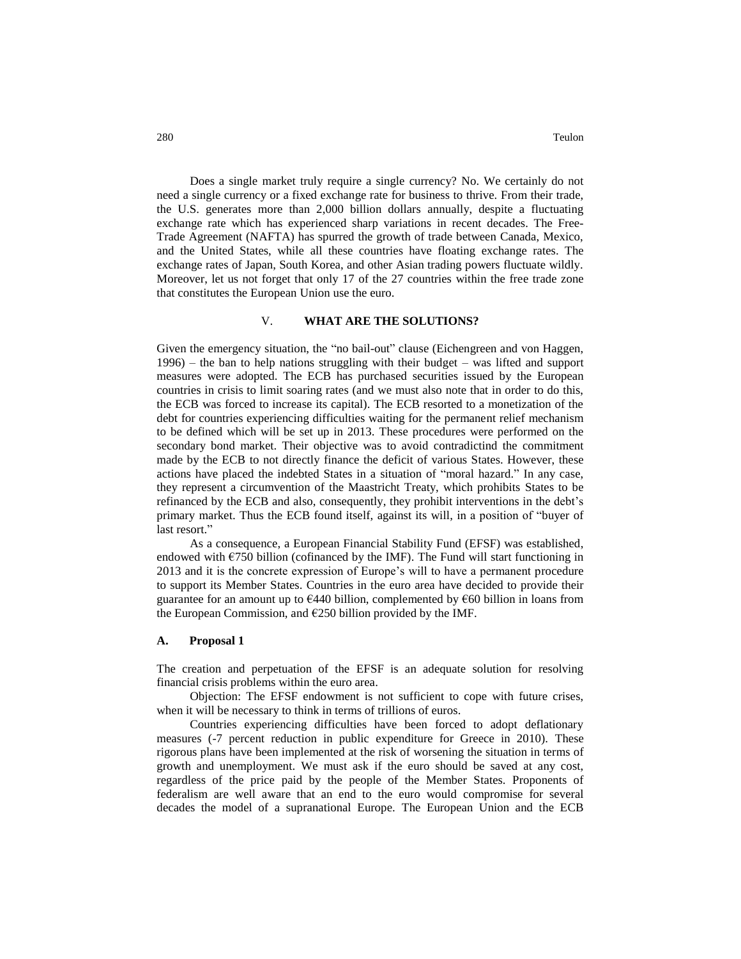Does a single market truly require a single currency? No. We certainly do not need a single currency or a fixed exchange rate for business to thrive. From their trade, the U.S. generates more than 2,000 billion dollars annually, despite a fluctuating exchange rate which has experienced sharp variations in recent decades. The Free-Trade Agreement (NAFTA) has spurred the growth of trade between Canada, Mexico, and the United States, while all these countries have floating exchange rates. The exchange rates of Japan, South Korea, and other Asian trading powers fluctuate wildly. Moreover, let us not forget that only 17 of the 27 countries within the free trade zone that constitutes the European Union use the euro.

### V. **WHAT ARE THE SOLUTIONS?**

Given the emergency situation, the "no bail-out" clause (Eichengreen and von Haggen, 1996) – the ban to help nations struggling with their budget – was lifted and support measures were adopted. The ECB has purchased securities issued by the European countries in crisis to limit soaring rates (and we must also note that in order to do this, the ECB was forced to increase its capital). The ECB resorted to a monetization of the debt for countries experiencing difficulties waiting for the permanent relief mechanism to be defined which will be set up in 2013. These procedures were performed on the secondary bond market. Their objective was to avoid contradictind the commitment made by the ECB to not directly finance the deficit of various States. However, these actions have placed the indebted States in a situation of "moral hazard." In any case, they represent a circumvention of the Maastricht Treaty, which prohibits States to be refinanced by the ECB and also, consequently, they prohibit interventions in the debt's primary market. Thus the ECB found itself, against its will, in a position of "buyer of last resort."

As a consequence, a European Financial Stability Fund (EFSF) was established, endowed with  $\epsilon$ 750 billion (cofinanced by the IMF). The Fund will start functioning in 2013 and it is the concrete expression of Europe's will to have a permanent procedure to support its Member States. Countries in the euro area have decided to provide their guarantee for an amount up to  $E$ 440 billion, complemented by  $E$ 60 billion in loans from the European Commission, and  $E250$  billion provided by the IMF.

#### **A. Proposal 1**

The creation and perpetuation of the EFSF is an adequate solution for resolving financial crisis problems within the euro area.

Objection: The EFSF endowment is not sufficient to cope with future crises, when it will be necessary to think in terms of trillions of euros.

Countries experiencing difficulties have been forced to adopt deflationary measures (-7 percent reduction in public expenditure for Greece in 2010). These rigorous plans have been implemented at the risk of worsening the situation in terms of growth and unemployment. We must ask if the euro should be saved at any cost, regardless of the price paid by the people of the Member States. Proponents of federalism are well aware that an end to the euro would compromise for several decades the model of a supranational Europe. The European Union and the ECB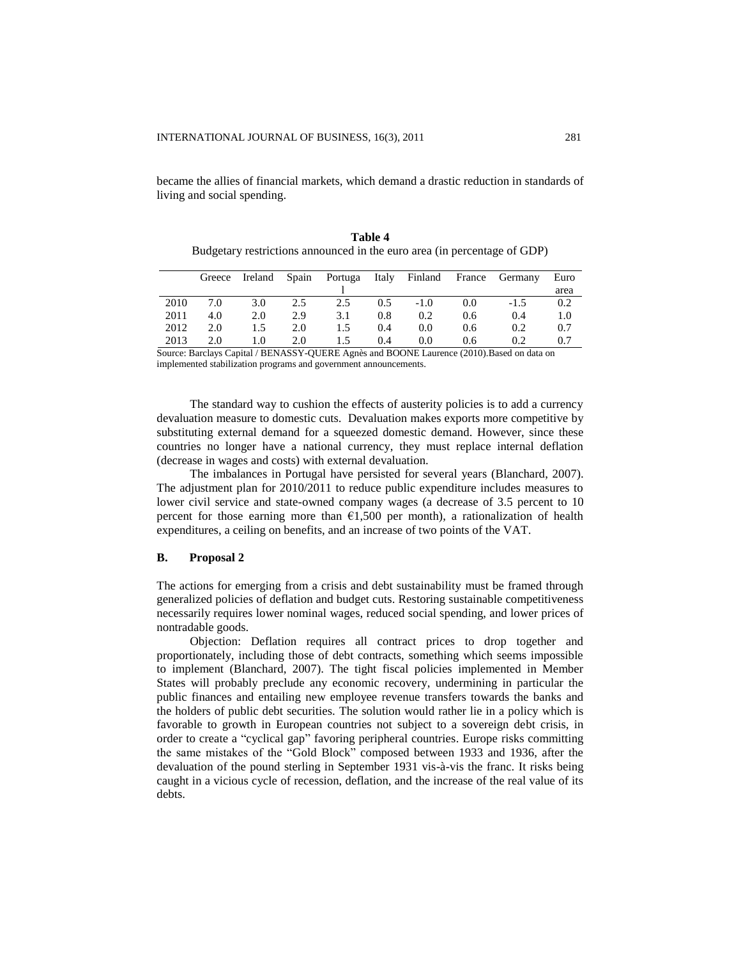became the allies of financial markets, which demand a drastic reduction in standards of living and social spending.

|      | Greece |     |     |     |     |        |     | Ireland Spain Portuga Italy Finland France Germany | Euro |
|------|--------|-----|-----|-----|-----|--------|-----|----------------------------------------------------|------|
|      |        |     |     |     |     |        |     |                                                    | area |
| 2010 | 7.0    | 3.0 | 2.5 | 2.5 | 0.5 | $-1.0$ | 0.0 | $-1.5$                                             | 0.2  |
| 2011 | 4.0    | 2.0 | 2.9 | 3.1 | 0.8 | 0.2    | 0.6 | 0.4                                                | 1.0  |
| 2012 | 2.0    | 1.5 | 2.0 | 1.5 | 0.4 | 0.0    | 0.6 | 0.2                                                | 0.7  |
| 2013 | 2.0    | 1.0 | 2.0 | 1.5 | 0.4 | 0.0    | 0.6 | 0.2                                                | 0.7  |

**Table 4** Budgetary restrictions announced in the euro area (in percentage of GDP)

Source: Barclays Capital / BENASSY-QUERE Agnès and BOONE Laurence (2010).Based on data on implemented stabilization programs and government announcements.

The standard way to cushion the effects of austerity policies is to add a currency devaluation measure to domestic cuts. Devaluation makes exports more competitive by substituting external demand for a squeezed domestic demand. However, since these countries no longer have a national currency, they must replace internal deflation (decrease in wages and costs) with external devaluation.

The imbalances in Portugal have persisted for several years (Blanchard, 2007). The adjustment plan for 2010/2011 to reduce public expenditure includes measures to lower civil service and state-owned company wages (a decrease of 3.5 percent to 10 percent for those earning more than  $\epsilon$ 1,500 per month), a rationalization of health expenditures, a ceiling on benefits, and an increase of two points of the VAT.

### **B. Proposal 2**

The actions for emerging from a crisis and debt sustainability must be framed through generalized policies of deflation and budget cuts. Restoring sustainable competitiveness necessarily requires lower nominal wages, reduced social spending, and lower prices of nontradable goods.

Objection: Deflation requires all contract prices to drop together and proportionately, including those of debt contracts, something which seems impossible to implement (Blanchard, 2007). The tight fiscal policies implemented in Member States will probably preclude any economic recovery, undermining in particular the public finances and entailing new employee revenue transfers towards the banks and the holders of public debt securities. The solution would rather lie in a policy which is favorable to growth in European countries not subject to a sovereign debt crisis, in order to create a "cyclical gap" favoring peripheral countries. Europe risks committing the same mistakes of the "Gold Block" composed between 1933 and 1936, after the devaluation of the pound sterling in September 1931 vis-à-vis the franc. It risks being caught in a vicious cycle of recession, deflation, and the increase of the real value of its debts.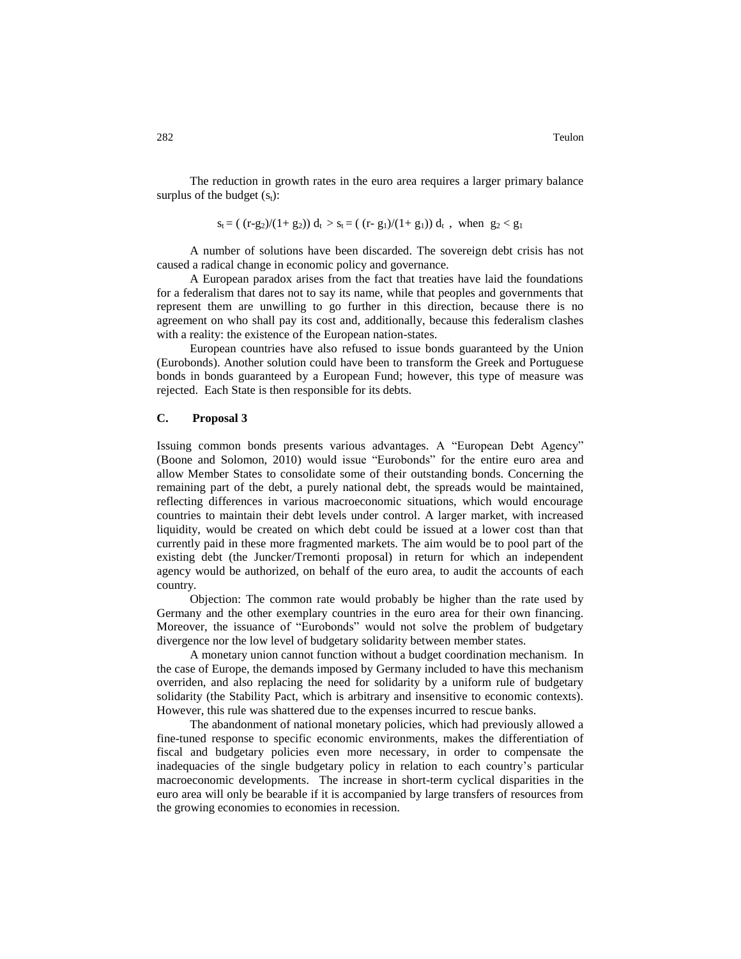The reduction in growth rates in the euro area requires a larger primary balance surplus of the budget  $(s_t)$ :

$$
s_t\!=\! (\;(r\text{-}g_2)/(1\text{+}~g_2))~d_t > s_t\!=\! (\;(r\text{-}~g_1)/(1\text{+}~g_1))~d_t~,~~\text{when}~~g_2\!<\!g_1
$$

A number of solutions have been discarded. The sovereign debt crisis has not caused a radical change in economic policy and governance.

A European paradox arises from the fact that treaties have laid the foundations for a federalism that dares not to say its name, while that peoples and governments that represent them are unwilling to go further in this direction, because there is no agreement on who shall pay its cost and, additionally, because this federalism clashes with a reality: the existence of the European nation-states.

European countries have also refused to issue bonds guaranteed by the Union (Eurobonds). Another solution could have been to transform the Greek and Portuguese bonds in bonds guaranteed by a European Fund; however, this type of measure was rejected. Each State is then responsible for its debts.

#### **C. Proposal 3**

Issuing common bonds presents various advantages. A "European Debt Agency" (Boone and Solomon, 2010) would issue "Eurobonds" for the entire euro area and allow Member States to consolidate some of their outstanding bonds. Concerning the remaining part of the debt, a purely national debt, the spreads would be maintained, reflecting differences in various macroeconomic situations, which would encourage countries to maintain their debt levels under control. A larger market, with increased liquidity, would be created on which debt could be issued at a lower cost than that currently paid in these more fragmented markets. The aim would be to pool part of the existing debt (the Juncker/Tremonti proposal) in return for which an independent agency would be authorized, on behalf of the euro area, to audit the accounts of each country.

Objection: The common rate would probably be higher than the rate used by Germany and the other exemplary countries in the euro area for their own financing. Moreover, the issuance of "Eurobonds" would not solve the problem of budgetary divergence nor the low level of budgetary solidarity between member states.

A monetary union cannot function without a budget coordination mechanism. In the case of Europe, the demands imposed by Germany included to have this mechanism overriden, and also replacing the need for solidarity by a uniform rule of budgetary solidarity (the Stability Pact, which is arbitrary and insensitive to economic contexts). However, this rule was shattered due to the expenses incurred to rescue banks.

The abandonment of national monetary policies, which had previously allowed a fine-tuned response to specific economic environments, makes the differentiation of fiscal and budgetary policies even more necessary, in order to compensate the inadequacies of the single budgetary policy in relation to each country's particular macroeconomic developments. The increase in short-term cyclical disparities in the euro area will only be bearable if it is accompanied by large transfers of resources from the growing economies to economies in recession.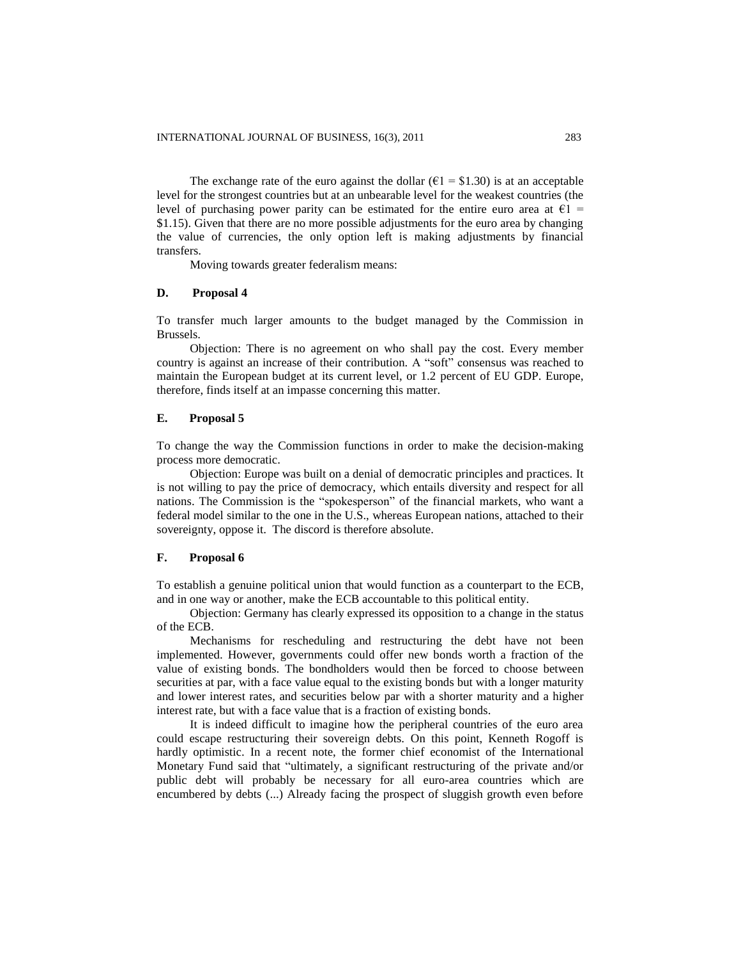The exchange rate of the euro against the dollar ( $\epsilon$ 1 = \$1.30) is at an acceptable level for the strongest countries but at an unbearable level for the weakest countries (the level of purchasing power parity can be estimated for the entire euro area at  $\epsilon_1$  = \$1.15). Given that there are no more possible adjustments for the euro area by changing the value of currencies, the only option left is making adjustments by financial transfers.

Moving towards greater federalism means:

### **D. Proposal 4**

To transfer much larger amounts to the budget managed by the Commission in Brussels.

Objection: There is no agreement on who shall pay the cost. Every member country is against an increase of their contribution. A "soft" consensus was reached to maintain the European budget at its current level, or 1.2 percent of EU GDP. Europe, therefore, finds itself at an impasse concerning this matter.

### **E. Proposal 5**

To change the way the Commission functions in order to make the decision-making process more democratic.

Objection: Europe was built on a denial of democratic principles and practices. It is not willing to pay the price of democracy, which entails diversity and respect for all nations. The Commission is the "spokesperson" of the financial markets, who want a federal model similar to the one in the U.S., whereas European nations, attached to their sovereignty, oppose it. The discord is therefore absolute.

### **F. Proposal 6**

To establish a genuine political union that would function as a counterpart to the ECB, and in one way or another, make the ECB accountable to this political entity.

Objection: Germany has clearly expressed its opposition to a change in the status of the ECB.

Mechanisms for rescheduling and restructuring the debt have not been implemented. However, governments could offer new bonds worth a fraction of the value of existing bonds. The bondholders would then be forced to choose between securities at par, with a face value equal to the existing bonds but with a longer maturity and lower interest rates, and securities below par with a shorter maturity and a higher interest rate, but with a face value that is a fraction of existing bonds.

It is indeed difficult to imagine how the peripheral countries of the euro area could escape restructuring their sovereign debts. On this point, Kenneth Rogoff is hardly optimistic. In a recent note, the former chief economist of the International Monetary Fund said that "ultimately, a significant restructuring of the private and/or public debt will probably be necessary for all euro-area countries which are encumbered by debts (...) Already facing the prospect of sluggish growth even before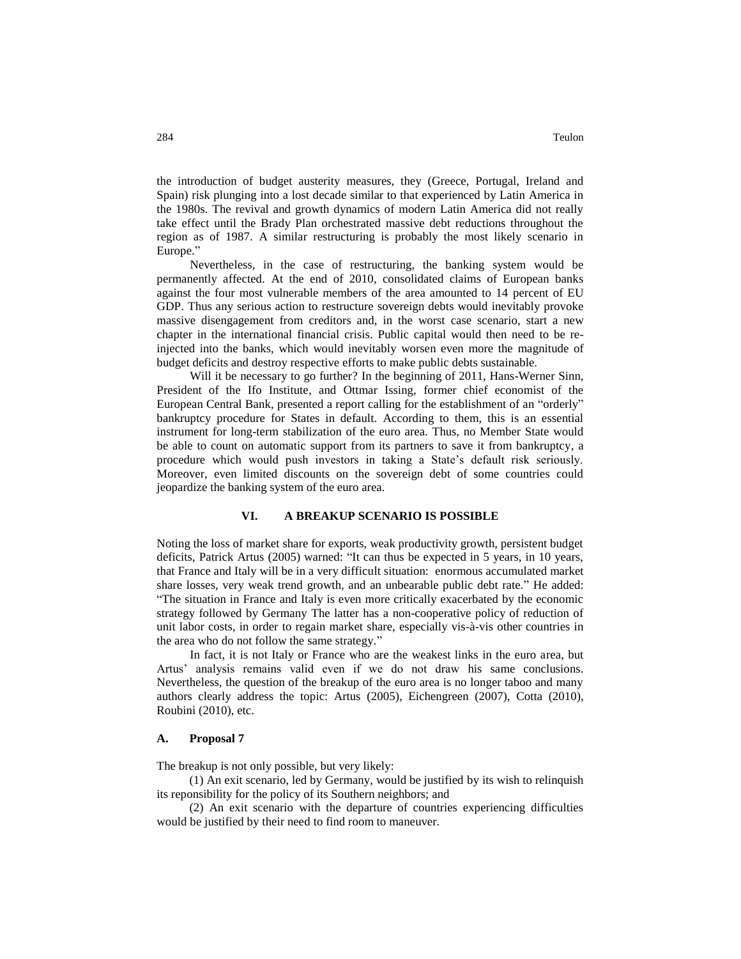the introduction of budget austerity measures, they (Greece, Portugal, Ireland and Spain) risk plunging into a lost decade similar to that experienced by Latin America in the 1980s. The revival and growth dynamics of modern Latin America did not really take effect until the Brady Plan orchestrated massive debt reductions throughout the region as of 1987. A similar restructuring is probably the most likely scenario in Europe."

Nevertheless, in the case of restructuring, the banking system would be permanently affected. At the end of 2010, consolidated claims of European banks against the four most vulnerable members of the area amounted to 14 percent of EU GDP. Thus any serious action to restructure sovereign debts would inevitably provoke massive disengagement from creditors and, in the worst case scenario, start a new chapter in the international financial crisis. Public capital would then need to be reinjected into the banks, which would inevitably worsen even more the magnitude of budget deficits and destroy respective efforts to make public debts sustainable.

Will it be necessary to go further? In the beginning of 2011, Hans-Werner Sinn, President of the Ifo Institute, and Ottmar Issing, former chief economist of the European Central Bank, presented a report calling for the establishment of an "orderly" bankruptcy procedure for States in default. According to them, this is an essential instrument for long-term stabilization of the euro area. Thus, no Member State would be able to count on automatic support from its partners to save it from bankruptcy, a procedure which would push investors in taking a State's default risk seriously. Moreover, even limited discounts on the sovereign debt of some countries could jeopardize the banking system of the euro area.

### **VI. A BREAKUP SCENARIO IS POSSIBLE**

Noting the loss of market share for exports, weak productivity growth, persistent budget deficits, Patrick Artus (2005) warned: "It can thus be expected in 5 years, in 10 years, that France and Italy will be in a very difficult situation: enormous accumulated market share losses, very weak trend growth, and an unbearable public debt rate." He added: "The situation in France and Italy is even more critically exacerbated by the economic strategy followed by Germany The latter has a non-cooperative policy of reduction of unit labor costs, in order to regain market share, especially vis-à-vis other countries in the area who do not follow the same strategy."

In fact, it is not Italy or France who are the weakest links in the euro area, but Artus' analysis remains valid even if we do not draw his same conclusions. Nevertheless, the question of the breakup of the euro area is no longer taboo and many authors clearly address the topic: Artus (2005), Eichengreen (2007), Cotta (2010), Roubini (2010), etc.

### **A. Proposal 7**

The breakup is not only possible, but very likely:

(1) An exit scenario, led by Germany, would be justified by its wish to relinquish its reponsibility for the policy of its Southern neighbors; and

(2) An exit scenario with the departure of countries experiencing difficulties would be justified by their need to find room to maneuver.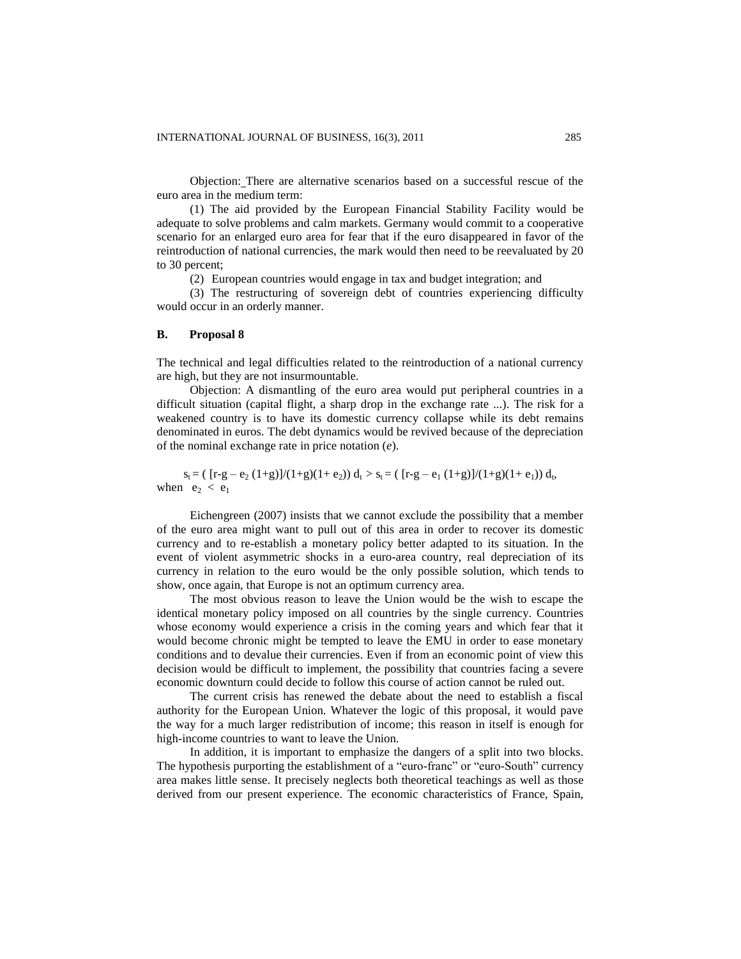Objection: There are alternative scenarios based on a successful rescue of the euro area in the medium term:

(1) The aid provided by the European Financial Stability Facility would be adequate to solve problems and calm markets. Germany would commit to a cooperative scenario for an enlarged euro area for fear that if the euro disappeared in favor of the reintroduction of national currencies, the mark would then need to be reevaluated by 20 to 30 percent;

(2) European countries would engage in tax and budget integration; and

(3) The restructuring of sovereign debt of countries experiencing difficulty would occur in an orderly manner.

#### **B. Proposal 8**

The technical and legal difficulties related to the reintroduction of a national currency are high, but they are not insurmountable.

Objection: A dismantling of the euro area would put peripheral countries in a difficult situation (capital flight, a sharp drop in the exchange rate ...). The risk for a weakened country is to have its domestic currency collapse while its debt remains denominated in euros. The debt dynamics would be revived because of the depreciation of the nominal exchange rate in price notation (*e*).

 $s_t = ( [r-g - e_2 (1+g)]/(1+g)(1+e_2)) d_t > s_t = ( [r-g - e_1 (1+g)]/(1+g)(1+e_1)) d_t,$ when  $e_2 < e_1$ 

Eichengreen (2007) insists that we cannot exclude the possibility that a member of the euro area might want to pull out of this area in order to recover its domestic currency and to re-establish a monetary policy better adapted to its situation. In the event of violent asymmetric shocks in a euro-area country, real depreciation of its currency in relation to the euro would be the only possible solution, which tends to show, once again, that Europe is not an optimum currency area.

The most obvious reason to leave the Union would be the wish to escape the identical monetary policy imposed on all countries by the single currency. Countries whose economy would experience a crisis in the coming years and which fear that it would become chronic might be tempted to leave the EMU in order to ease monetary conditions and to devalue their currencies. Even if from an economic point of view this decision would be difficult to implement, the possibility that countries facing a severe economic downturn could decide to follow this course of action cannot be ruled out.

The current crisis has renewed the debate about the need to establish a fiscal authority for the European Union. Whatever the logic of this proposal, it would pave the way for a much larger redistribution of income; this reason in itself is enough for high-income countries to want to leave the Union.

In addition, it is important to emphasize the dangers of a split into two blocks. The hypothesis purporting the establishment of a "euro-franc" or "euro-South" currency area makes little sense. It precisely neglects both theoretical teachings as well as those derived from our present experience. The economic characteristics of France, Spain,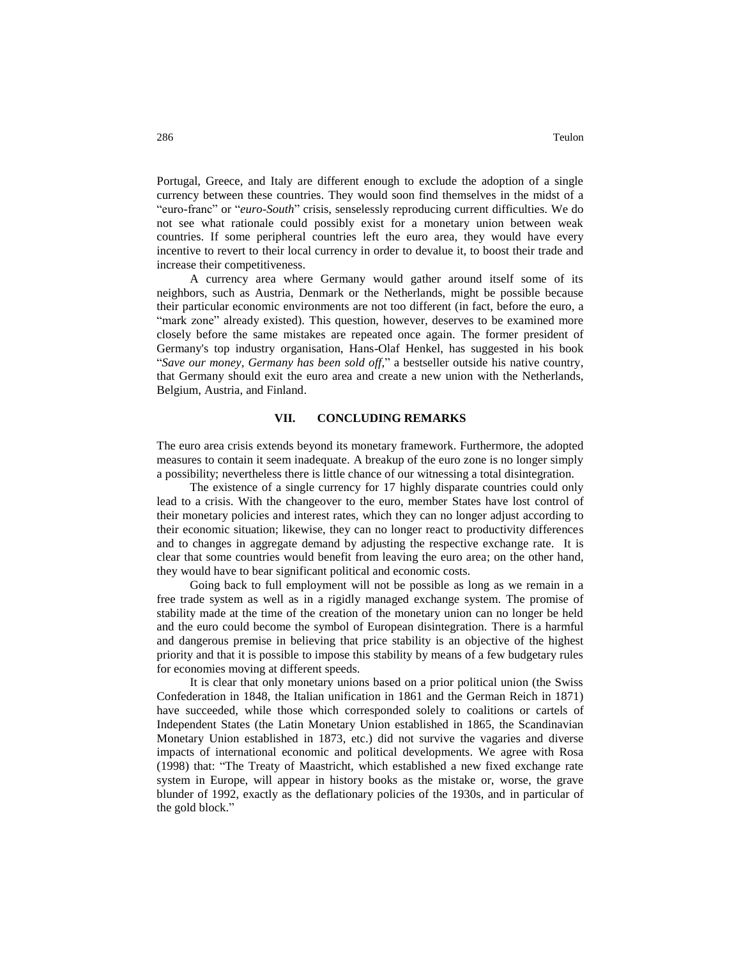Portugal, Greece, and Italy are different enough to exclude the adoption of a single currency between these countries. They would soon find themselves in the midst of a "euro-franc" or "*euro-South*" crisis, senselessly reproducing current difficulties. We do not see what rationale could possibly exist for a monetary union between weak countries. If some peripheral countries left the euro area, they would have every incentive to revert to their local currency in order to devalue it, to boost their trade and increase their competitiveness.

A currency area where Germany would gather around itself some of its neighbors, such as Austria, Denmark or the Netherlands, might be possible because their particular economic environments are not too different (in fact, before the euro, a "mark zone" already existed). This question, however, deserves to be examined more closely before the same mistakes are repeated once again. The former president of Germany's top industry organisation, Hans-Olaf Henkel, has suggested in his book "*Save our money, Germany has been sold off*," a bestseller outside his native country, that Germany should exit the euro area and create a new union with the Netherlands, Belgium, Austria, and Finland.

#### **VII. CONCLUDING REMARKS**

The euro area crisis extends beyond its monetary framework. Furthermore, the adopted measures to contain it seem inadequate. A breakup of the euro zone is no longer simply a possibility; nevertheless there is little chance of our witnessing a total disintegration.

The existence of a single currency for 17 highly disparate countries could only lead to a crisis. With the changeover to the euro, member States have lost control of their monetary policies and interest rates, which they can no longer adjust according to their economic situation; likewise, they can no longer react to productivity differences and to changes in aggregate demand by adjusting the respective exchange rate. It is clear that some countries would benefit from leaving the euro area; on the other hand, they would have to bear significant political and economic costs.

Going back to full employment will not be possible as long as we remain in a free trade system as well as in a rigidly managed exchange system. The promise of stability made at the time of the creation of the monetary union can no longer be held and the euro could become the symbol of European disintegration. There is a harmful and dangerous premise in believing that price stability is an objective of the highest priority and that it is possible to impose this stability by means of a few budgetary rules for economies moving at different speeds.

It is clear that only monetary unions based on a prior political union (the Swiss Confederation in 1848, the Italian unification in 1861 and the German Reich in 1871) have succeeded, while those which corresponded solely to coalitions or cartels of Independent States (the Latin Monetary Union established in 1865, the Scandinavian Monetary Union established in 1873, etc.) did not survive the vagaries and diverse impacts of international economic and political developments. We agree with Rosa (1998) that: "The Treaty of Maastricht, which established a new fixed exchange rate system in Europe, will appear in history books as the mistake or, worse, the grave blunder of 1992, exactly as the deflationary policies of the 1930s, and in particular of the gold block."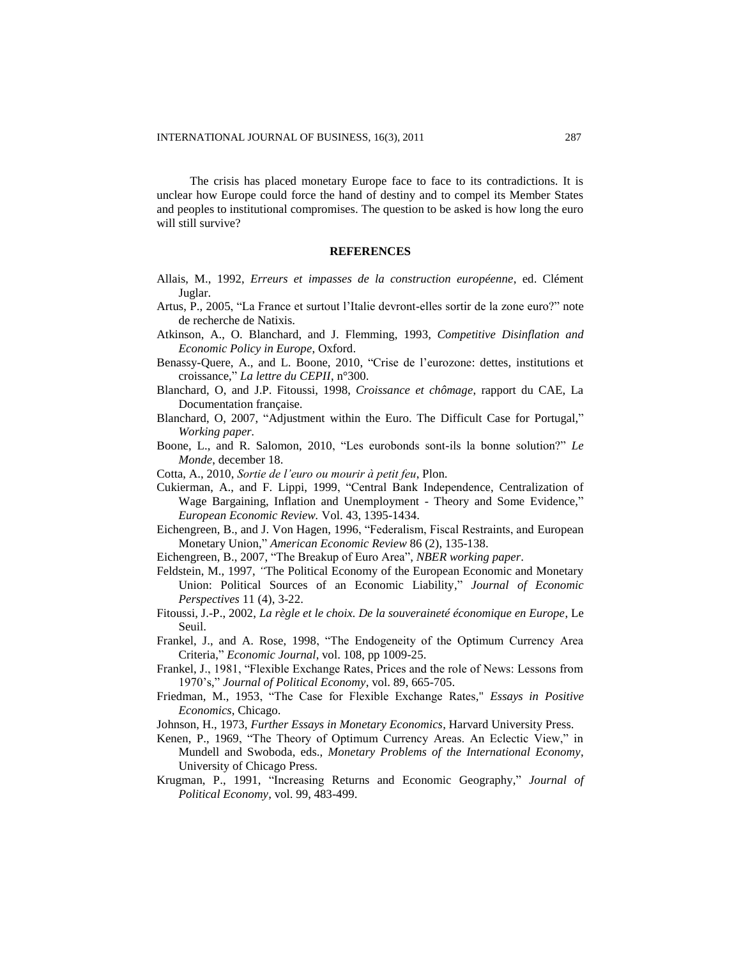The crisis has placed monetary Europe face to face to its contradictions. It is unclear how Europe could force the hand of destiny and to compel its Member States and peoples to institutional compromises. The question to be asked is how long the euro will still survive?

#### **REFERENCES**

- Allais, M., 1992, *Erreurs et impasses de la construction européenne*, ed. Clément Juglar.
- Artus, P., 2005, "La France et surtout l'Italie devront-elles sortir de la zone euro?" note de recherche de Natixis.
- Atkinson, A., O. Blanchard, and J. Flemming, 1993, *Competitive Disinflation and Economic Policy in Europe*, Oxford.
- Benassy-Quere, A., and L. Boone, 2010, "Crise de l'eurozone: dettes, institutions et croissance," *La lettre du CEPII*, n°300.
- Blanchard, O, and J.P. Fitoussi, 1998, *Croissance et chômage*, rapport du CAE, La Documentation française.
- Blanchard, O, 2007, "Adjustment within the Euro. The Difficult Case for Portugal," *Working paper.*
- Boone, L., and R. Salomon, 2010, "Les eurobonds sont-ils la bonne solution?" *Le Monde*, december 18.
- Cotta, A., 2010, *Sortie de l'euro ou mourir à petit feu*, Plon.
- Cukierman, A., and F. Lippi, 1999, "Central Bank Independence, Centralization of Wage Bargaining, Inflation and Unemployment - Theory and Some Evidence," *European Economic Review.* Vol. 43, 1395-1434.
- Eichengreen, B., and J. Von Hagen, 1996, "Federalism, Fiscal Restraints, and European Monetary Union," *American Economic Review* 86 (2), 135-138.
- Eichengreen, B., 2007, "The Breakup of Euro Area", *NBER working paper*.
- Feldstein, M., 1997, *"*The Political Economy of the European Economic and Monetary Union: Political Sources of an Economic Liability," *Journal of Economic Perspectives* 11 (4), 3-22.
- Fitoussi, J.-P., 2002, *La règle et le choix. De la souveraineté économique en Europe*, Le Seuil.
- Frankel, J., and A. Rose, 1998, "The Endogeneity of the Optimum Currency Area Criteria," *Economic Journal*, vol. 108, pp 1009-25.
- Frankel, J., 1981, "Flexible Exchange Rates, Prices and the role of News: Lessons from 1970's," *Journal of Political Economy*, vol. 89, 665-705.
- Friedman, M., 1953, "The Case for Flexible Exchange Rates," *Essays in Positive Economics*, Chicago.
- Johnson, H., 1973, *Further Essays in Monetary Economics*, Harvard University Press.
- Kenen, P., 1969, "The Theory of Optimum Currency Areas. An Eclectic View," in Mundell and Swoboda, eds., *Monetary Problems of the International Economy*, University of Chicago Press.
- Krugman, P., 1991, "Increasing Returns and Economic Geography," *Journal of Political Economy,* vol. 99, 483-499.